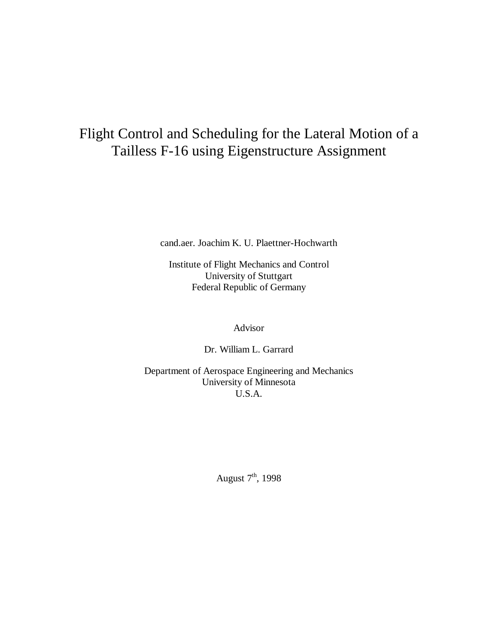# Flight Control and Scheduling for the Lateral Motion of a Tailless F-16 using Eigenstructure Assignment

cand.aer. Joachim K. U. Plaettner-Hochwarth

Institute of Flight Mechanics and Control University of Stuttgart Federal Republic of Germany

Advisor

Dr. William L. Garrard

Department of Aerospace Engineering and Mechanics University of Minnesota U.S.A.

August  $7<sup>th</sup>$ , 1998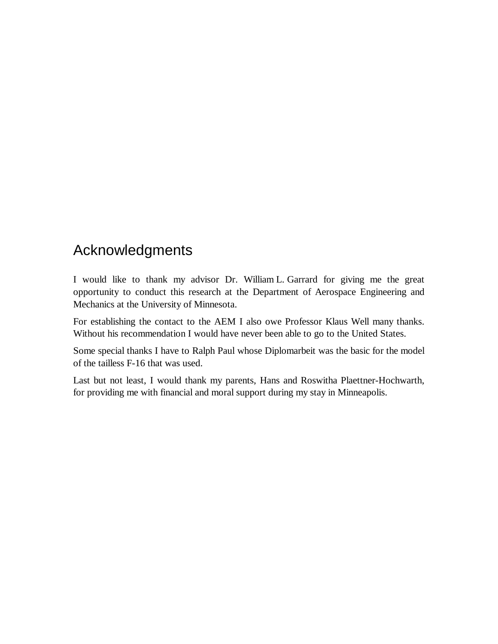# Acknowledgments

I would like to thank my advisor Dr. William L. Garrard for giving me the great opportunity to conduct this research at the Department of Aerospace Engineering and Mechanics at the University of Minnesota.

For establishing the contact to the AEM I also owe Professor Klaus Well many thanks. Without his recommendation I would have never been able to go to the United States.

Some special thanks I have to Ralph Paul whose Diplomarbeit was the basic for the model of the tailless F-16 that was used.

Last but not least, I would thank my parents, Hans and Roswitha Plaettner-Hochwarth, for providing me with financial and moral support during my stay in Minneapolis.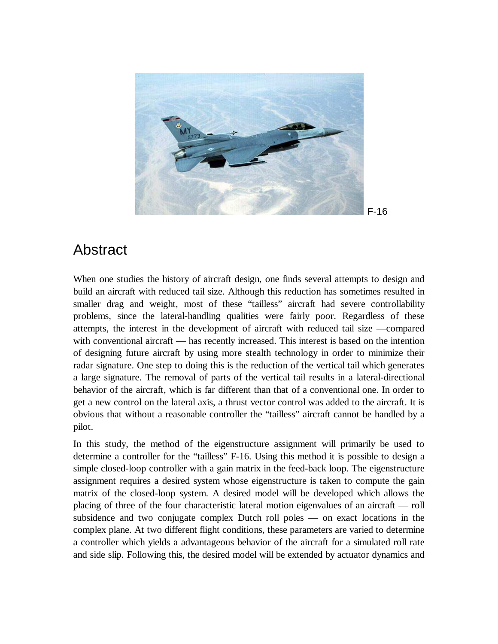

### Abstract

When one studies the history of aircraft design, one finds several attempts to design and build an aircraft with reduced tail size. Although this reduction has sometimes resulted in smaller drag and weight, most of these "tailless" aircraft had severe controllability problems, since the lateral-handling qualities were fairly poor. Regardless of these attempts, the interest in the development of aircraft with reduced tail size —compared with conventional aircraft — has recently increased. This interest is based on the intention of designing future aircraft by using more stealth technology in order to minimize their radar signature. One step to doing this is the reduction of the vertical tail which generates a large signature. The removal of parts of the vertical tail results in a lateral-directional behavior of the aircraft, which is far different than that of a conventional one. In order to get a new control on the lateral axis, a thrust vector control was added to the aircraft. It is obvious that without a reasonable controller the "tailless" aircraft cannot be handled by a pilot.

In this study, the method of the eigenstructure assignment will primarily be used to determine a controller for the "tailless" F-16. Using this method it is possible to design a simple closed-loop controller with a gain matrix in the feed-back loop. The eigenstructure assignment requires a desired system whose eigenstructure is taken to compute the gain matrix of the closed-loop system. A desired model will be developed which allows the placing of three of the four characteristic lateral motion eigenvalues of an aircraft — roll subsidence and two conjugate complex Dutch roll poles — on exact locations in the complex plane. At two different flight conditions, these parameters are varied to determine a controller which yields a advantageous behavior of the aircraft for a simulated roll rate and side slip. Following this, the desired model will be extended by actuator dynamics and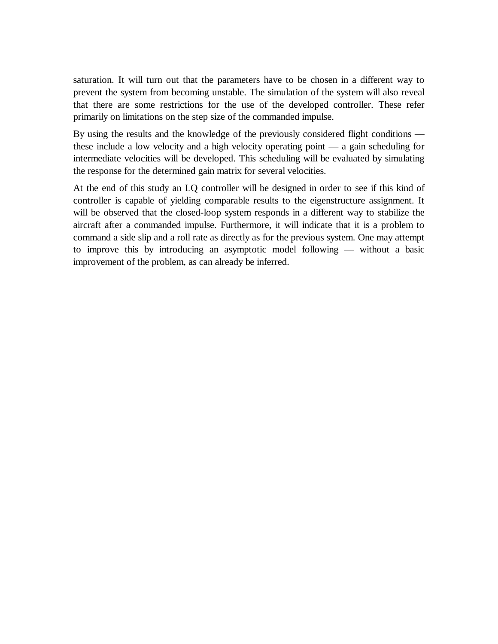saturation. It will turn out that the parameters have to be chosen in a different way to prevent the system from becoming unstable. The simulation of the system will also reveal that there are some restrictions for the use of the developed controller. These refer primarily on limitations on the step size of the commanded impulse.

By using the results and the knowledge of the previously considered flight conditions these include a low velocity and a high velocity operating point — a gain scheduling for intermediate velocities will be developed. This scheduling will be evaluated by simulating the response for the determined gain matrix for several velocities.

At the end of this study an LQ controller will be designed in order to see if this kind of controller is capable of yielding comparable results to the eigenstructure assignment. It will be observed that the closed-loop system responds in a different way to stabilize the aircraft after a commanded impulse. Furthermore, it will indicate that it is a problem to command a side slip and a roll rate as directly as for the previous system. One may attempt to improve this by introducing an asymptotic model following — without a basic improvement of the problem, as can already be inferred.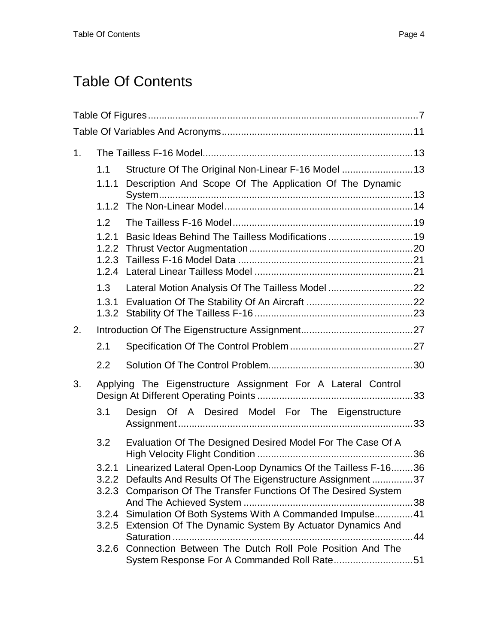# Table Of Contents

| 1. |                |                                                                                                                                |              |
|----|----------------|--------------------------------------------------------------------------------------------------------------------------------|--------------|
|    | 1.1<br>1.1.1   | Structure Of The Original Non-Linear F-16 Model  13<br>Description And Scope Of The Application Of The Dynamic                 |              |
|    |                |                                                                                                                                |              |
|    | 1.2            |                                                                                                                                |              |
|    | 1.2.1<br>1.2.2 | Basic Ideas Behind The Tailless Modifications  19                                                                              |              |
|    |                |                                                                                                                                |              |
|    | 1.3            | Lateral Motion Analysis Of The Tailless Model 22                                                                               |              |
|    | 1.3.1          |                                                                                                                                |              |
| 2. |                |                                                                                                                                |              |
|    | 2.1            |                                                                                                                                |              |
|    | 2.2            |                                                                                                                                |              |
| 3. |                | Applying The Eigenstructure Assignment For A Lateral Control                                                                   |              |
|    | 3.1            | Design Of A Desired Model For The Eigenstructure                                                                               | 33           |
|    | 3.2            | Evaluation Of The Designed Desired Model For The Case Of A                                                                     |              |
|    | 3.2.1          | Linearized Lateral Open-Loop Dynamics Of the Tailless F-1636<br>3.2.2 Defaults And Results Of The Eigenstructure Assignment 37 |              |
|    | 3.2.3          | Comparison Of The Transfer Functions Of The Desired System                                                                     |              |
|    |                | 3.2.4 Simulation Of Both Systems With A Commanded Impulse 41                                                                   |              |
|    |                | 3.2.5 Extension Of The Dynamic System By Actuator Dynamics And                                                                 | $\dots$ . 44 |
|    |                | 3.2.6 Connection Between The Dutch Roll Pole Position And The                                                                  |              |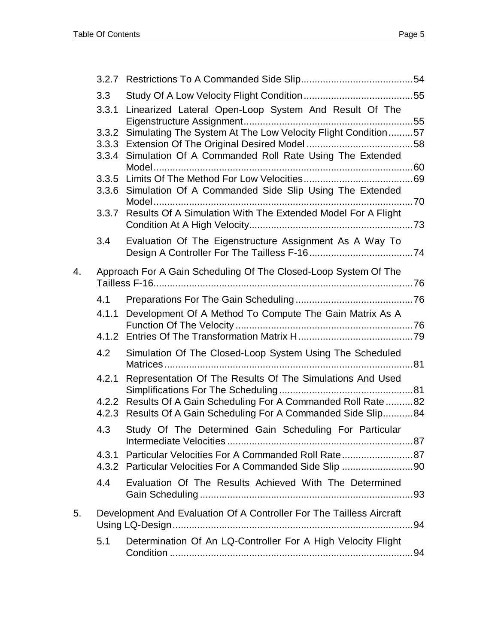|    | 3.3   |                                                                                                                                    |  |
|----|-------|------------------------------------------------------------------------------------------------------------------------------------|--|
|    | 3.3.1 | Linearized Lateral Open-Loop System And Result Of The                                                                              |  |
|    | 3.3.2 | Simulating The System At The Low Velocity Flight Condition57                                                                       |  |
|    |       |                                                                                                                                    |  |
|    |       | 3.3.4 Simulation Of A Commanded Roll Rate Using The Extended                                                                       |  |
|    |       |                                                                                                                                    |  |
|    |       | 3.3.6 Simulation Of A Commanded Side Slip Using The Extended                                                                       |  |
|    |       |                                                                                                                                    |  |
|    |       | 3.3.7 Results Of A Simulation With The Extended Model For A Flight                                                                 |  |
|    |       |                                                                                                                                    |  |
|    | 3.4   | Evaluation Of The Eigenstructure Assignment As A Way To                                                                            |  |
| 4. |       | Approach For A Gain Scheduling Of The Closed-Loop System Of The                                                                    |  |
|    | 4.1   |                                                                                                                                    |  |
|    |       | 4.1.1 Development Of A Method To Compute The Gain Matrix As A                                                                      |  |
|    |       |                                                                                                                                    |  |
|    | 4.2   | Simulation Of The Closed-Loop System Using The Scheduled                                                                           |  |
|    | 4.2.1 | Representation Of The Results Of The Simulations And Used                                                                          |  |
|    |       | 4.2.2 Results Of A Gain Scheduling For A Commanded Roll Rate  82<br>4.2.3 Results Of A Gain Scheduling For A Commanded Side Slip84 |  |
|    | 4.3   | Study Of The Determined Gain Scheduling For Particular                                                                             |  |
|    |       | 4.3.1 Particular Velocities For A Commanded Roll Rate87<br>4.3.2 Particular Velocities For A Commanded Side Slip 90                |  |
|    | 4.4   | Evaluation Of The Results Achieved With The Determined                                                                             |  |
| 5. |       | Development And Evaluation Of A Controller For The Tailless Aircraft                                                               |  |
|    | 5.1   | Determination Of An LQ-Controller For A High Velocity Flight                                                                       |  |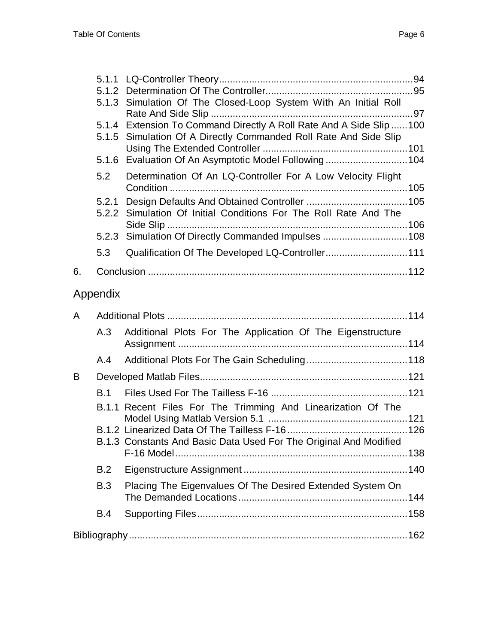|          |            | 5.1.3 Simulation Of The Closed-Loop System With An Initial Roll      |  |
|----------|------------|----------------------------------------------------------------------|--|
|          |            | 5.1.4 Extension To Command Directly A Roll Rate And A Side Slip  100 |  |
|          | 5.1.5      | Simulation Of A Directly Commanded Roll Rate And Side Slip           |  |
|          | 5.1.6      | Evaluation Of An Asymptotic Model Following104                       |  |
|          | 5.2        | Determination Of An LQ-Controller For A Low Velocity Flight          |  |
|          | 5.2.1      |                                                                      |  |
|          | 5.2.2      | Simulation Of Initial Conditions For The Roll Rate And The           |  |
|          |            | 5.2.3 Simulation Of Directly Commanded Impulses 108                  |  |
|          | 5.3        | Qualification Of The Developed LQ-Controller111                      |  |
| 6.       |            |                                                                      |  |
| Appendix |            |                                                                      |  |
| A        |            |                                                                      |  |
|          | A.3        | Additional Plots For The Application Of The Eigenstructure           |  |
|          | A.4        |                                                                      |  |
| B        |            |                                                                      |  |
|          | <b>B.1</b> |                                                                      |  |
|          |            | B.1.1 Recent Files For The Trimming And Linearization Of The         |  |
|          |            |                                                                      |  |
|          |            | B.1.3 Constants And Basic Data Used For The Original And Modified    |  |
|          |            |                                                                      |  |
|          | B.2        |                                                                      |  |
|          | <b>B.3</b> | Placing The Eigenvalues Of The Desired Extended System On            |  |
|          | B.4        |                                                                      |  |
|          |            |                                                                      |  |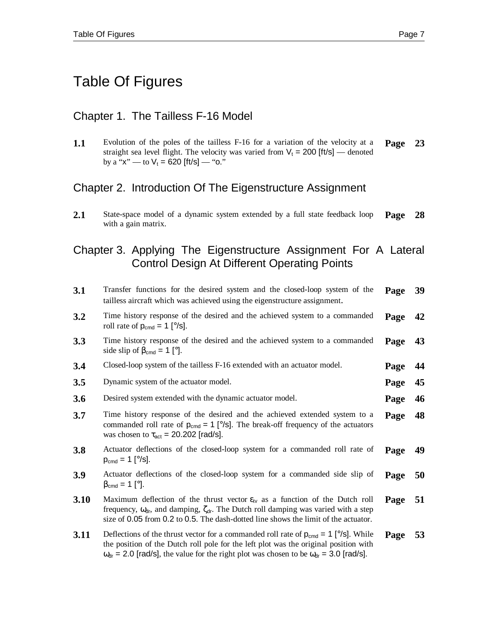# Table Of Figures

#### Chapter 1. The Tailless F-16 Model

**1.1** Evolution of the poles of the tailless F-16 for a variation of the velocity at a straight sea level flight. The velocity was varied from  $V_t = 200$  [ft/s] — denoted by a "x" — to  $V_t$  = 620 [ft/s] — "o." **Page 23**

### Chapter 2. Introduction Of The Eigenstructure Assignment

2.1 State-space model of a dynamic system extended by a full state feedback loop with a gain matrix. **Page 28**

### Chapter 3. Applying The Eigenstructure Assignment For A Lateral Control Design At Different Operating Points

| 3.1  | Transfer functions for the desired system and the closed-loop system of the<br>tailless aircraft which was achieved using the eigenstructure assignment.                                                                                                                                                            | Page | 39 |
|------|---------------------------------------------------------------------------------------------------------------------------------------------------------------------------------------------------------------------------------------------------------------------------------------------------------------------|------|----|
| 3.2  | Time history response of the desired and the achieved system to a commanded<br>roll rate of $p_{cmd} = 1$ [ $^{\circ}/s$ ].                                                                                                                                                                                         | Page | 42 |
| 3.3  | Time history response of the desired and the achieved system to a commanded<br>side slip of $\beta_{cmd} = 1$ [°].                                                                                                                                                                                                  | Page | 43 |
| 3.4  | Closed-loop system of the tailless F-16 extended with an actuator model.                                                                                                                                                                                                                                            | Page | 44 |
| 3.5  | Dynamic system of the actuator model.                                                                                                                                                                                                                                                                               | Page | 45 |
| 3.6  | Desired system extended with the dynamic actuator model.                                                                                                                                                                                                                                                            | Page | 46 |
| 3.7  | Time history response of the desired and the achieved extended system to a<br>commanded roll rate of $p_{cmd} = 1$ [ $\degree$ /s]. The break-off frequency of the actuators<br>was chosen to $\tau_{\text{act}} = 20.202$ [rad/s].                                                                                 | Page | 48 |
| 3.8  | Actuator deflections of the closed-loop system for a commanded roll rate of<br>$p_{cmd} = 1$ [ $\degree$ /s].                                                                                                                                                                                                       | Page | 49 |
| 3.9  | Actuator deflections of the closed-loop system for a commanded side slip of<br>$\beta_{\text{cmd}} = 1$ [°].                                                                                                                                                                                                        | Page | 50 |
| 3.10 | Maximum deflection of the thrust vector $\varepsilon_{tv}$ as a function of the Dutch roll<br>frequency, $\omega_{dr}$ , and damping, $\zeta_{dr}$ . The Dutch roll damping was varied with a step<br>size of 0.05 from 0.2 to 0.5. The dash-dotted line shows the limit of the actuator.                           | Page | 51 |
| 3.11 | Deflections of the thrust vector for a commanded roll rate of $p_{cmd} = 1$ [ $\degree$ /s]. While<br>the position of the Dutch roll pole for the left plot was the original position with<br>$\omega_{\text{dr}}$ = 2.0 [rad/s], the value for the right plot was chosen to be $\omega_{\text{dr}}$ = 3.0 [rad/s]. | Page | 53 |
|      |                                                                                                                                                                                                                                                                                                                     |      |    |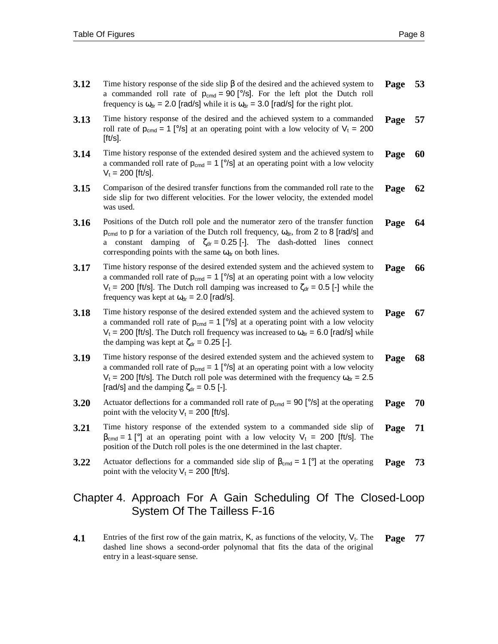| 3.12 | Time history response of the side slip $\beta$ of the desired and the achieved system to<br>a commanded roll rate of $p_{cmd} = 90$ [ $\degree$ /s]. For the left plot the Dutch roll<br>frequency is $\omega_{dr}$ = 2.0 [rad/s] while it is $\omega_{dr}$ = 3.0 [rad/s] for the right plot.                                              | Page | 53 |
|------|--------------------------------------------------------------------------------------------------------------------------------------------------------------------------------------------------------------------------------------------------------------------------------------------------------------------------------------------|------|----|
| 3.13 | Time history response of the desired and the achieved system to a commanded<br>roll rate of $p_{cmd} = 1$ [ $\degree$ /s] at an operating point with a low velocity of $V_t = 200$<br>$[ft/s]$ .                                                                                                                                           | Page | 57 |
| 3.14 | Time history response of the extended desired system and the achieved system to<br>a commanded roll rate of $p_{cmd} = 1$ [ $\degree$ /s] at an operating point with a low velocity<br>$V_t$ = 200 [ft/s].                                                                                                                                 | Page | 60 |
| 3.15 | Comparison of the desired transfer functions from the commanded roll rate to the<br>side slip for two different velocities. For the lower velocity, the extended model<br>was used.                                                                                                                                                        | Page | 62 |
| 3.16 | Positions of the Dutch roll pole and the numerator zero of the transfer function<br>$p_{cmd}$ to p for a variation of the Dutch roll frequency, $\omega_{dr}$ , from 2 to 8 [rad/s] and<br>a constant damping of $\zeta_{dr} = 0.25$ [-]. The dash-dotted lines connect<br>corresponding points with the same $\omega_{dr}$ on both lines. | Page | 64 |
| 3.17 | Time history response of the desired extended system and the achieved system to<br>a commanded roll rate of $p_{cmd} = 1$ [ $\degree$ /s] at an operating point with a low velocity<br>$V_t$ = 200 [ft/s]. The Dutch roll damping was increased to $\zeta_{dr}$ = 0.5 [-] while the<br>frequency was kept at $\omega_{dr} = 2.0$ [rad/s].  | Page | 66 |
| 3.18 | Time history response of the desired extended system and the achieved system to<br>a commanded roll rate of $p_{cmd} = 1$ [ $\degree$ /s] at a operating point with a low velocity<br>$V_t$ = 200 [ft/s]. The Dutch roll frequency was increased to $\omega_{dr}$ = 6.0 [rad/s] while<br>the damping was kept at $\zeta_{dr} = 0.25$ [-].  | Page | 67 |
| 3.19 | Time history response of the desired extended system and the achieved system to<br>a commanded roll rate of $p_{cmd} = 1$ [ $\degree$ /s] at an operating point with a low velocity<br>$V_t$ = 200 [ft/s]. The Dutch roll pole was determined with the frequency $\omega_{dr}$ = 2.5<br>[rad/s] and the damping $\zeta_{dr} = 0.5$ [-].    | Page | 68 |
| 3.20 | Actuator deflections for a commanded roll rate of $p_{cmd} = 90$ [ $\degree$ /s] at the operating<br>point with the velocity $V_t = 200$ [ft/s].                                                                                                                                                                                           | Page | 70 |
| 3.21 | Time history response of the extended system to a commanded side slip of<br>$\beta_{\text{cmd}} = 1$ [°] at an operating point with a low velocity $V_t = 200$ [ft/s]. The<br>position of the Dutch roll poles is the one determined in the last chapter.                                                                                  | Page | 71 |
| 3.22 | Actuator deflections for a commanded side slip of $\beta_{cmd} = 1$ [°] at the operating<br>point with the velocity $V_t = 200$ [ft/s].                                                                                                                                                                                                    | Page | 73 |

### Chapter 4. Approach For A Gain Scheduling Of The Closed-Loop System Of The Tailless F-16

**4.1** Entries of the first row of the gain matrix,  $K$ , as functions of the velocity,  $V_t$ . The dashed line shows a second-order polynomal that fits the data of the original entry in a least-square sense. **Page 77**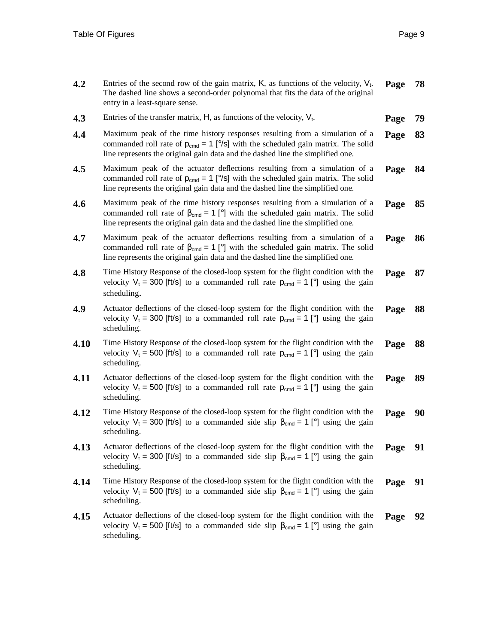| 4.2  | Entries of the second row of the gain matrix, $K$ , as functions of the velocity, $V_t$ .<br>The dashed line shows a second-order polynomal that fits the data of the original<br>entry in a least-square sense.                                                | Page | 78 |
|------|-----------------------------------------------------------------------------------------------------------------------------------------------------------------------------------------------------------------------------------------------------------------|------|----|
| 4.3  | Entries of the transfer matrix, $H$ , as functions of the velocity, $V_t$ .                                                                                                                                                                                     | Page | 79 |
| 4.4  | Maximum peak of the time history responses resulting from a simulation of a<br>commanded roll rate of $p_{cmd} = 1$ [ $\degree$ /s] with the scheduled gain matrix. The solid<br>line represents the original gain data and the dashed line the simplified one. | Page | 83 |
| 4.5  | Maximum peak of the actuator deflections resulting from a simulation of a<br>commanded roll rate of $p_{cmd} = 1$ [ $\degree$ /s] with the scheduled gain matrix. The solid<br>line represents the original gain data and the dashed line the simplified one.   | Page | 84 |
| 4.6  | Maximum peak of the time history responses resulting from a simulation of a<br>commanded roll rate of $\beta_{\text{cmd}} = 1$ [°] with the scheduled gain matrix. The solid<br>line represents the original gain data and the dashed line the simplified one.  | Page | 85 |
| 4.7  | Maximum peak of the actuator deflections resulting from a simulation of a<br>commanded roll rate of $\beta_{\text{cmd}} = 1$ [°] with the scheduled gain matrix. The solid<br>line represents the original gain data and the dashed line the simplified one.    | Page | 86 |
| 4.8  | Time History Response of the closed-loop system for the flight condition with the<br>velocity $V_t = 300$ [ft/s] to a commanded roll rate $p_{cmd} = 1$ [°] using the gain<br>scheduling.                                                                       | Page | 87 |
| 4.9  | Actuator deflections of the closed-loop system for the flight condition with the<br>velocity $V_t = 300$ [ft/s] to a commanded roll rate $p_{cmd} = 1$ [°] using the gain<br>scheduling.                                                                        | Page | 88 |
| 4.10 | Time History Response of the closed-loop system for the flight condition with the<br>velocity $V_t = 500$ [ft/s] to a commanded roll rate $p_{cmd} = 1$ [°] using the gain<br>scheduling.                                                                       | Page | 88 |
| 4.11 | Actuator deflections of the closed-loop system for the flight condition with the<br>velocity $V_t = 500$ [ft/s] to a commanded roll rate $p_{cmd} = 1$ [°] using the gain<br>scheduling.                                                                        | Page | 89 |
| 4.12 | Time History Response of the closed-loop system for the flight condition with the<br>velocity $V_t = 300$ [ft/s] to a commanded side slip $\beta_{cmd} = 1$ [°] using the gain<br>scheduling.                                                                   | Page | 90 |
| 4.13 | Actuator deflections of the closed-loop system for the flight condition with the<br>velocity $V_t = 300$ [ft/s] to a commanded side slip $\beta_{cmd} = 1$ [°] using the gain<br>scheduling.                                                                    | Page | 91 |
| 4.14 | Time History Response of the closed-loop system for the flight condition with the<br>velocity $V_t = 500$ [ft/s] to a commanded side slip $\beta_{\text{cmd}} = 1$ [°] using the gain<br>scheduling.                                                            | Page | 91 |
| 4.15 | Actuator deflections of the closed-loop system for the flight condition with the<br>velocity $V_t$ = 500 [ft/s] to a commanded side slip $\beta_{\text{cmd}} = 1$ [°] using the gain<br>scheduling.                                                             | Page | 92 |
|      |                                                                                                                                                                                                                                                                 |      |    |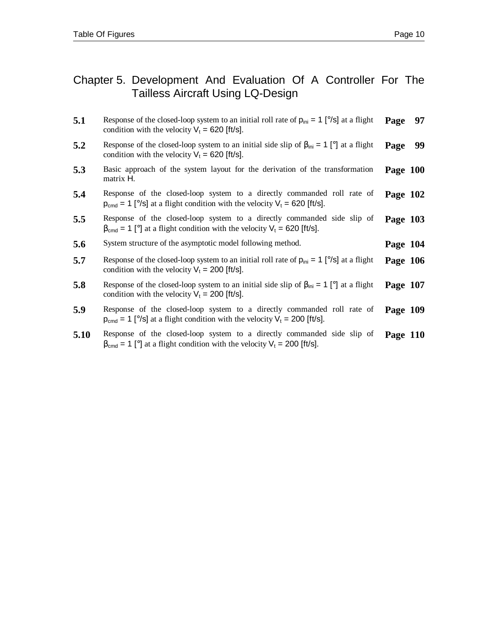#### Chapter 5. Development And Evaluation Of A Controller For The Tailless Aircraft Using LQ-Design

- **5.1** Response of the closed-loop system to an initial roll rate of  $p_{ini} = 1$  [ $\degree$ /s] at a flight condition with the velocity  $V_t = 620$  [ft/s]. **Page 97**
- **5.2 Response of the closed-loop system to an initial side slip of**  $\beta_{\text{ini}} = 1$  **[°] at a flight** condition with the velocity  $V_t = 620$  [ft/s]. **Page 99**
- **5.3** Basic approach of the system layout for the derivation of the transformation matrix H. **Page 100**
- **5.4** Response of the closed-loop system to a directly commanded roll rate of  $p_{cmd} = 1$  [ $°/s$ ] at a flight condition with the velocity  $V_t = 620$  [ft/s]. **Page 102**
- **5.5** Response of the closed-loop system to a directly commanded side slip of  $\beta_{\text{cmd}} = 1$  [°] at a flight condition with the velocity  $V_t = 620$  [ft/s]. **Page 103**
- **5.6** System structure of the asymptotic model following method. **Page 104**
- **5.7** Response of the closed-loop system to an initial roll rate of  $p_{ini} = 1$  [ $\degree$ /s] at a flight condition with the velocity  $V_t = 200$  [ft/s]. **Page 106**
- **5.8** Response of the closed-loop system to an initial side slip of  $\beta_{\text{ini}} = 1$  [°] at a flight condition with the velocity  $V_t = 200$  [ft/s]. **Page 107**
- **5.9** Response of the closed-loop system to a directly commanded roll rate of  $p_{cmd} = 1$  [ $°/s$ ] at a flight condition with the velocity  $V_t = 200$  [ft/s]. **Page 109**
- **5.10** Response of the closed-loop system to a directly commanded side slip of  $\beta_{\text{cmd}} = 1$  [°] at a flight condition with the velocity  $V_t = 200$  [ft/s]. **Page 110**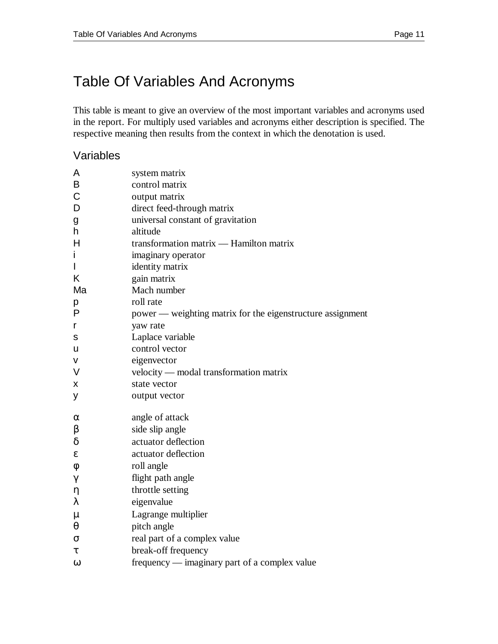This table is meant to give an overview of the most important variables and acronyms used in the report. For multiply used variables and acronyms either description is specified. The respective meaning then results from the context in which the denotation is used.

#### Variables

| A           | system matrix                                              |
|-------------|------------------------------------------------------------|
| B           | control matrix                                             |
| $\mathsf C$ | output matrix                                              |
| D           | direct feed-through matrix                                 |
| g           | universal constant of gravitation                          |
| h           | altitude                                                   |
| Η           | transformation matrix - Hamilton matrix                    |
| i           | imaginary operator                                         |
| I           | identity matrix                                            |
| Κ           | gain matrix                                                |
| Ma          | Mach number                                                |
| р           | roll rate                                                  |
| P           | power — weighting matrix for the eigenstructure assignment |
| r           | yaw rate                                                   |
| s           | Laplace variable                                           |
| u           | control vector                                             |
| v           | eigenvector                                                |
| V           | velocity — modal transformation matrix                     |
| Χ           | state vector                                               |
| у           | output vector                                              |
| α           | angle of attack                                            |
| β           | side slip angle                                            |
| $\delta$    | actuator deflection                                        |
| ε           | actuator deflection                                        |
| φ           | roll angle                                                 |
| γ           | flight path angle                                          |
| η           | throttle setting                                           |
| λ           | eigenvalue                                                 |
| μ           | Lagrange multiplier                                        |
| θ           | pitch angle                                                |
| σ           | real part of a complex value                               |
| τ           | break-off frequency                                        |
| $\omega$    | frequency — imaginary part of a complex value              |